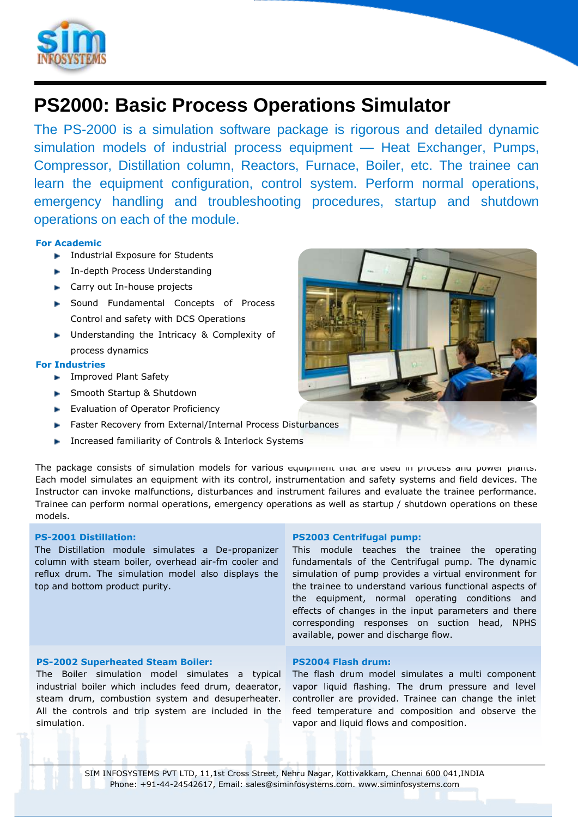

# **PS2000: Basic Process Operations Simulator**

The PS-2000 is a simulation software package is rigorous and detailed dynamic simulation models of industrial process equipment — Heat Exchanger, Pumps, Compressor, Distillation column, Reactors, Furnace, Boiler, etc. The trainee can learn the equipment configuration, control system. Perform normal operations, emergency handling and troubleshooting procedures, startup and shutdown operations on each of the module.

# **For Academic**

- **Industrial Exposure for Students**
- **In-depth Process Understanding**
- ► Carry out In-house projects
- ▶ Sound Fundamental Concepts of Process Control and safety with DCS Operations
- **Inderstanding the Intricacy & Complexity of** process dynamics

# **For Industries**

- **F** Improved Plant Safety
- **Smooth Startup & Shutdown**
- **Evaluation of Operator Proficiency**
- Faster Recovery from External/Internal Process Disturbances
- **Increased familiarity of Controls & Interlock Systems**

The package consists of simulation models for various equipment that are used in process and power plants. Each model simulates an equipment with its control, instrumentation and safety systems and field devices. The Instructor can invoke malfunctions, disturbances and instrument failures and evaluate the trainee performance. Trainee can perform normal operations, emergency operations as well as startup / shutdown operations on these models.

# **PS-2001 Distillation:**

The Distillation module simulates a De-propanizer column with steam boiler, overhead air-fm cooler and reflux drum. The simulation model also displays the top and bottom product purity.

## **PS-2002 Superheated Steam Boiler:**

The Boiler simulation model simulates a typical industrial boiler which includes feed drum, deaerator, steam drum, combustion system and desuperheater. All the controls and trip system are included in the simulation.

## **PS2003 Centrifugal pump:**

This module teaches the trainee the operating fundamentals of the Centrifugal pump. The dynamic simulation of pump provides a virtual environment for the trainee to understand various functional aspects of the equipment, normal operating conditions and effects of changes in the input parameters and there corresponding responses on suction head, NPHS available, power and discharge flow.

## **PS2004 Flash drum:**

The flash drum model simulates a multi component vapor liquid flashing. The drum pressure and level controller are provided. Trainee can change the inlet feed temperature and composition and observe the vapor and liquid flows and composition.